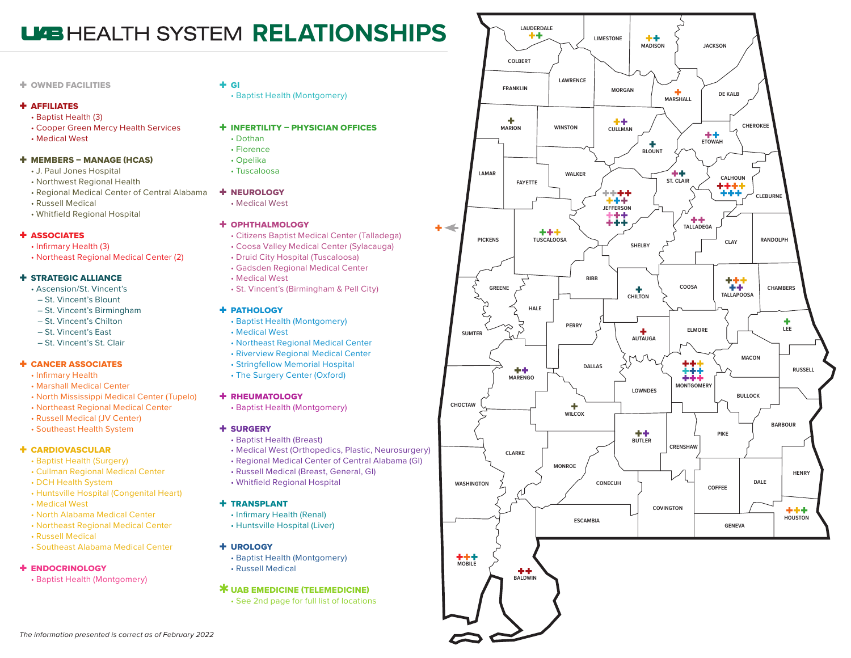# **LEALTH SYSTEM RELATIONSHIPS**

### + OWNED FACILITIES

#### + AFFILIATES

- Baptist Health (3)
- Cooper Green Mercy Health Services
- Medical West

#### + MEMBERS – MANAGE (HCAS)

- J. Paul Jones Hospital
- Northwest Regional Health
- Regional Medical Center of Central Alabama
- Russell Medical
- Whitfield Regional Hospital

#### + ASSOCIATES

- Infirmary Health (3)
- Northeast Regional Medical Center (2)

### + STRATEGIC ALLIANCE

- Ascension/St. Vincent's
- St. Vincent's Blount
- St. Vincent's Birmingham
- St. Vincent's Chilton
- St. Vincent's East
- St. Vincent's St. Clair

#### + CANCER ASSOCIATES

- Infirmary Health
- Marshall Medical Center
- North Mississippi Medical Center (Tupelo)
- Northeast Regional Medical Center
- Russell Medical (JV Center)
- Southeast Health System

### + CARDIOVASCULAR

- Baptist Health (Surgery)
- Cullman Regional Medical Center
- DCH Health System
- Huntsville Hospital (Congenital Heart)
- Medical West
- North Alabama Medical Center
- Northeast Regional Medical Center
- Russell Medical
- Southeast Alabama Medical Center

### + ENDOCRINOLOGY

• Baptist Health (Montgomery)

# $+$  GI

- Baptist Health (Montgomery)
- + INFERTILITY PHYSICIAN OFFICES
	- Dothan
	- Florence
	- Opelika
	- Tuscaloosa
- + NEUROLOGY
	- Medical West

### + OPHTHALMOLOGY

- Citizens Baptist Medical Center (Talladega)
- Coosa Valley Medical Center (Sylacauga)
- Druid City Hospital (Tuscaloosa)
- Gadsden Regional Medical Center
- Medical West
- St. Vincent's (Birmingham & Pell City)

### + PATHOLOGY

- Baptist Health (Montgomery)
- Medical West
- Northeast Regional Medical Center
- Riverview Regional Medical Center
- Stringfellow Memorial Hospital
- The Surgery Center (Oxford)

### + RHEUMATOLOGY

• Baptist Health (Montgomery)

## + SURGERY

- Baptist Health (Breast)
- Medical West (Orthopedics, Plastic, Neurosurgery)
- Regional Medical Center of Central Alabama (GI)
- Russell Medical (Breast, General, GI)
- Whitfield Regional Hospital

### + TRANSPLANT

- Infirmary Health (Renal)
- Huntsville Hospital (Liver)

#### + UROLOGY

• Baptist Health (Montgomery) • Russell Medical

### **\* UAB EMEDICINE (TELEMEDICINE)**

• See 2nd page for full list of locations